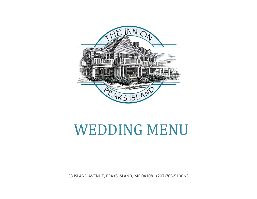

# WEDDING MENU

33 ISLAND AVENUE, PEAKS ISLAND, ME 04108 (207)766-5100 x3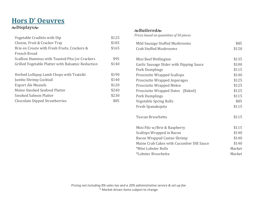# **Hors D' Oeuvres Displays**

| Vegetable Crudités with Dip                       | \$125 |
|---------------------------------------------------|-------|
| Cheese, Fruit & Cracker Tray                      | \$185 |
| Brie en Croute with Fresh Fruits, Crackers &      | \$165 |
| <b>French Bread</b>                               |       |
| Scallion Hummus with Toasted Pita (or Crackers    | \$95  |
| Grilled Vegetable Platter with Balsamic Reduction | \$140 |
|                                                   |       |
| Herbed Lollipop Lamb Chops with Tzatziki          | \$190 |
| Jumbo Shrimp Cocktail                             | \$140 |
| <b>Export Ale Mussels</b>                         | \$120 |
| Maine Smoked Seafood Platter                      | \$240 |
| Smoked Salmon Platter                             | \$230 |
| <b>Chocolate Dipped Strawberries</b>              | \$85  |

#### **Butlered**

*Prices based on quantities of 50 pieces* 

| Mild Sausage Stuffed Mushrooms            | \$85   |
|-------------------------------------------|--------|
| <b>Crab Stuffed Mushrooms</b>             | \$120  |
|                                           |        |
| Mini Beef Wellington                      | \$135  |
| Garlic Sausage Slider with Dipping Sauce  | \$100  |
| <b>Pork Dumplings</b>                     | \$115  |
| <b>Prosciutto Wrapped Scallops</b>        | \$140  |
| Prosciutto Wrapped Asparagus              | \$125  |
| <b>Prosciutto Wrapped Melon</b>           | \$125  |
| Prosciutto Wrapped Dates (Baked)          | \$125  |
| <b>Pork Dumplings</b>                     | \$115  |
| Vegetable Spring Rolls                    | \$85   |
| Fresh Spanakopita                         | \$115  |
|                                           |        |
| Tuscan Bruschetta                         | \$115  |
|                                           |        |
| Mini Filo w/Brie & Raspberry              | \$115  |
| Scallops Wrapped in Bacon                 | \$140  |
| Bacon Wrapped Casino Shrimp               | \$140  |
| Maine Crab Cakes with Cucumber Dill Sauce | \$140  |
| *Mini Lobster Rolls                       | Market |
| *Lobster Bruschetta                       | Market |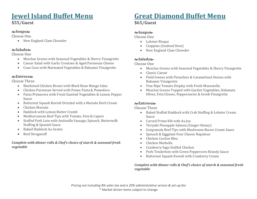# **Jewel Island Buffet Menu**

#### **\$55/Guest**

#### **Soups**

Choose One

• New England Clam Chowder

#### **Salads**

Choose One

- Mesclun Greens with Seasonal Vegetables & Sherry Vinaigrette
- Caesar Salad with Garlic Croutons & Aged Parmesan Cheese
- Cous Cous with Marinated Vegetables & Balsamic Vinaigrette

#### **Entrees**

Choose Three

- Blackened Chicken Breast with Black Bean Mango Salsa
- Chicken Parmesan Served with Penne Pasta & Pomodoro
- Pasta Primavera with Fresh Sautéed Vegetables & Lemon Pepper Sauce
- Butternut Squash Ravioli Drizzled with a Marsala Herb Cream
- Chicken Marsala
- Haddock with Lemon Butter Crumb
- Mediterranean Beef Tips with Tomato, Feta & Capers
- Stuffed Pork Loin with Andouille Sausage, Spinach, Buttermilk Stuffing & Spanish Sauce
- Baked Haddock Au Gratin
- Beef Stroganoff

#### *Complete with dinner rolls & Chef's choice of starch & seasonal fresh vegetable*

# **Great Diamond Buffet Menu**

**\$65/Guest** 

### **Soups**

Choose One

- Lobster Bisque
- Cioppino (Seafood Stew)
- New England Clam Chowder

### **Salads**

Choose One

- Mesclun Greens with Seasonal Vegetables & Sherry Vinaigrette
- Classic Caesar
- Field Greens with Pistachios & Caramelized Onions with Balsamic Vinaigrette
- Vine Ripe Tomato Display with Fresh Mozzarella
- Mesclun Greens Topped with Garden Vegetables, Kalamata Olives, Feta Cheese, Pepperoncini & Greek Vinaigrette

### **Entrees**

Choose Three

- Baked Stuffed Haddock with Crab Stuffing & Lobster Cream Sauce
- Carved Prime Rib with Au Jus
- Teriyaki Pineapple Salmon (Ginger-Honey)
- Gorgonzola Beef Tips with Mushroom-Bacon Cream Sauce
- Spinach & Eggplant Four Cheese Napoleon
- Chicken Cordon Bleu
- Chicken Marbella
- Cranberry Sage Stuffed Chicken
- Pork Tenderloin with Green Peppercorn Brandy Sauce
- Butternut Squash Ravioli with Cranberry Cream

*Complete with dinner rolls & Chef's choice of starch & seasonal fresh vegetable*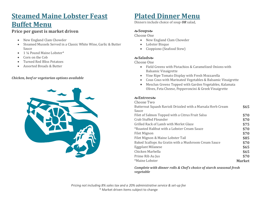# **Steamed Maine Lobster Feast Buffet Menu**

#### **Price per guest is market driven**

- New England Clam Chowder
- Steamed Mussels Served in a Classic White Wine, Garlic & Butter Sauce
- 1¼ Pound Maine Lobster\*
- Corn on the Cob
- Turned Red Bliss Potatoes
- Assorted Breads & Butter

#### *Chicken, beef or vegetarian options available*



# **Plated Dinner Menu**

Dinners include choice of soup *OR* salad,

#### **Soups**

Choose One

- New England Clam Chowder
- Lobster Bisque
- Cioppiono (Seafood Stew)

#### **Salads**

Choose One

- Field Greens with Pistachios & Caramelized Onions with Balsamic Vinaigrette
- Vine Ripe Tomato Display with Fresh Mozzarella
- Cous Cous with Marinated Vegetables & Balsamic Vinaigrette
- Mesclun Greens Topped with Garden Vegetables, Kalamata Olives, Feta Cheese, Pepperoncini & Greek Vinaigrette

#### **Entrees**

| Choose Two                                                  |               |
|-------------------------------------------------------------|---------------|
| Butternut Squash Ravioli Drizzled with a Marsala Herb Cream | \$65          |
| Sauce                                                       |               |
| Filet of Salmon Topped with a Citrus Fruit Salsa            | \$70          |
| Crab Stuffed Flounder                                       | \$70          |
| Grilled Rack of Lamb with Merlot Glaze                      | \$75          |
| *Roasted Halibut with a Lobster Cream Sauce                 | \$70          |
| Filet Mignon                                                | \$70          |
| Filet Mignon & Maine Lobster Tail                           | \$85          |
| Baked Scallops Au Gratin with a Mushroom Cream Sauce        | \$70          |
| <b>Eggplant Milanese</b>                                    | \$65          |
| Chicken Marbella                                            | \$65          |
| Prime Rib Au Jus                                            | \$70          |
| *Maine Lobster                                              | <b>Market</b> |

*Complete with dinner rolls & Chef's choice of starch seasonal fresh vegetable*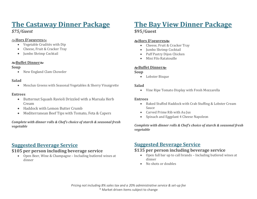# **The Castaway Dinner Package**

#### *\$75/Guest*

#### **Hors D'oeuvres**

- Vegetable Crudités with Dip
- Cheese, Fruit & Cracker Tray
- Jumbo Shrimp Cocktail

#### **Buffet Dinner**

#### **Soup**

• New England Clam Chowder

#### **Salad**

Mesclun Greens with Seasonal Vegetables & Sherry Vinaigrette

#### **Entrees**

- Butternut Squash Ravioli Drizzled with a Marsala Herb Cream
- Haddock with Lemon Butter Crumb
- Mediterranean Beef Tips with Tomato, Feta & Capers

#### *Complete with dinner rolls & Chef's choice of starch & seasonal fresh vegetable*

# **Suggested Beverage Service**

### **\$105 per person including beverage service**

 Open Beer, Wine & Champagne – Including butlered wines at dinner

# **The Bay View Dinner Package**

#### **\$95/Guest**

#### **Hors D'oeuvres**

- Cheese, Fruit & Cracker Tray
- Jumbo Shrimp Cocktail
- Puff Pastry Dijon Chicken
- Mini Filo Ratatouille

#### **Buffet Dinner**

#### **Soup**

Lobster Bisque

#### **Salad**

Vine Ripe Tomato Display with Fresh Mozzarella

#### **Entrees**

- Baked Stuffed Haddock with Crab Stuffing & Lobster Cream Sauce
- Carved Prime Rib with Au Jus
- Spinach and Eggplant 4 Cheese Napoleon

#### *Complete with dinner rolls & Chef's choice of starch & seasonal fresh vegetable*

### **Suggested Beverage Service**

### **\$135 per person including beverage service**

- Open full bar up to call brands Including butlered wines at dinner
- No shots or doubles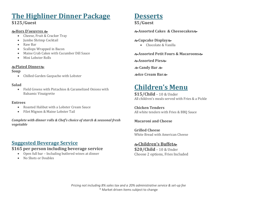# **The Highliner Dinner Package**

#### **\$125/Guest**

#### **Hors D'oeuvres**

- Cheese, Fruit & Cracker Tray
- Jumbo Shrimp Cocktail
- Raw Bar
- Scallops Wrapped in Bacon
- Maine Crab Cakes with Cucumber Dill Sauce
- Mini Lobster Rolls

#### **Plated Dinner**

#### **Soup**

Chilled Garden Gazpacho with Lobster

#### **Salad**

 Field Greens with Pistachios & Caramelized Onions with Balsamic Vinaigrette

#### **Entrees**

- Roasted Halibut with a Lobster Cream Sauce
- Filet Mignon & Maine Lobster Tail

*Complete with dinner rolls & Chef's choice of starch & seasonal fresh vegetable*

# **Suggested Beverage Service**

### **\$165 per person including beverage service**

- Open full bar Including butlered wines at dinner
- No Shots or Doubles

# **Desserts**

**\$5/Guest**

**Assorted Cakes & Cheesecakes**

#### **Cupcake Display**

Chocolate & Vanilla

**Assorted Petit Fours & Macaroons**

**Assorted Pies**

**& Candy Bar &** 

**Ice Cream Bar**

# **Children's Menu**

**\$15/Child** – 10 & Under All children's meals served with Fries & a Pickle

**Chicken Tenders** All white tenders with Fries & BBQ Sauce

### **Macaroni and Cheese**

**Grilled Cheese** White Bread with American Cheese

### **Children's Buffet \$20/Child** – 10 & Under

Choose 2 options, Fries Included